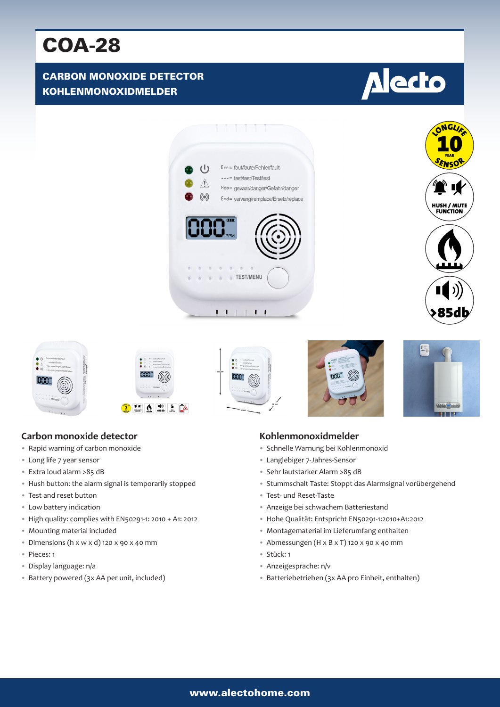# COA-28

# CARBON MONOXIDE DETECTOR KOHLENMONOXIDMELDER

# **Alecto**













# **Carbon monoxide detector**

- Rapid warning of carbon monoxide
- Long life 7 year sensor
- Extra loud alarm >85 dB
- Hush button: the alarm signal is temporarily stopped
- Test and reset button
- Low battery indication
- High quality: complies with EN50291-1: 2010 + A1: 2012
- Mounting material included
- Dimensions (h x w x d) 120 x 90 x 40 mm
- Pieces: 1
- Display language: n/a
- Battery powered (3x AA per unit, included)

#### **Kohlenmonoxidmelder**

- Schnelle Warnung bei Kohlenmonoxid
- Langlebiger 7-Jahres-Sensor
- Sehr lautstarker Alarm >85 dB
- Stummschalt Taste: Stoppt das Alarmsignal vorübergehend
- Test- und Reset-Taste
- Anzeige bei schwachem Batteriestand
- Hohe Qualität: Entspricht EN50291-1:2010+A1:2012
- Montagematerial im Lieferumfang enthalten
- Abmessungen (H x B x T) 120 x 90 x 40 mm
- Stück: 1
- Anzeigesprache: n/v
- Batteriebetrieben (3x AA pro Einheit, enthalten)